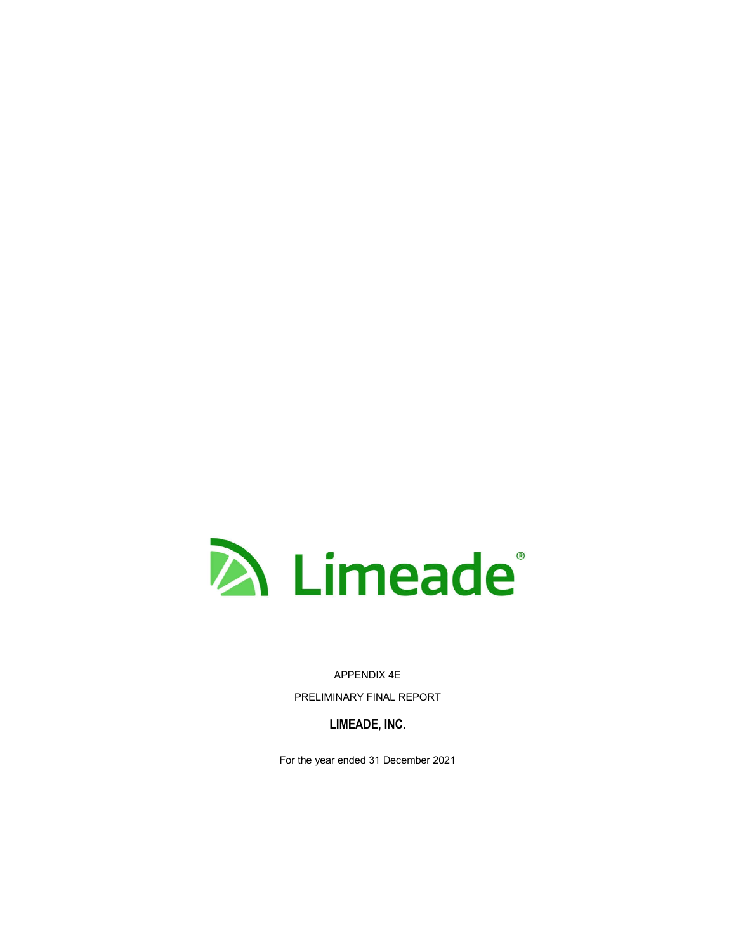

APPENDIX 4E PRELIMINARY FINAL REPORT

**LIMEADE, INC.**

For the year ended 31 December 2021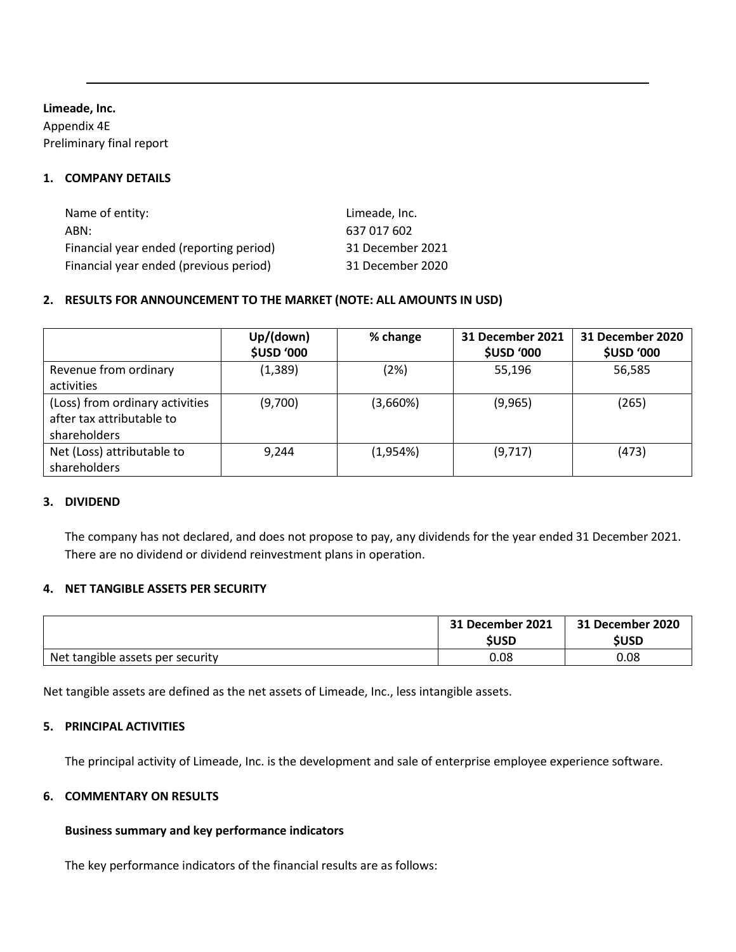### **Limeade, Inc.**

Appendix 4E Preliminary final report

### **1. COMPANY DETAILS**

| Name of entity:                         | Limeade, Inc.    |
|-----------------------------------------|------------------|
| ABN:                                    | 637 017 602      |
| Financial year ended (reporting period) | 31 December 2021 |
| Financial year ended (previous period)  | 31 December 2020 |

# **2. RESULTS FOR ANNOUNCEMENT TO THE MARKET (NOTE: ALL AMOUNTS IN USD)**

|                                                                              | Up/(down)<br><b>\$USD '000</b> | % change | 31 December 2021<br><b>\$USD '000</b> | 31 December 2020<br><b>\$USD '000</b> |
|------------------------------------------------------------------------------|--------------------------------|----------|---------------------------------------|---------------------------------------|
| Revenue from ordinary<br>activities                                          | (1, 389)                       | (2%)     | 55,196                                | 56,585                                |
| (Loss) from ordinary activities<br>after tax attributable to<br>shareholders | (9,700)                        | (3,660%) | (9,965)                               | (265)                                 |
| Net (Loss) attributable to<br>shareholders                                   | 9,244                          | (1,954%) | (9,717)                               | (473)                                 |

#### **3. DIVIDEND**

The company has not declared, and does not propose to pay, any dividends for the year ended 31 December 2021. There are no dividend or dividend reinvestment plans in operation.

#### **4. NET TANGIBLE ASSETS PER SECURITY**

|                                  | 31 December 2021<br>SUSD | 31 December 2020<br><b>\$USD</b> |
|----------------------------------|--------------------------|----------------------------------|
| Net tangible assets per security | 0.08                     | 0.08                             |

Net tangible assets are defined as the net assets of Limeade, Inc., less intangible assets.

### **5. PRINCIPAL ACTIVITIES**

The principal activity of Limeade, Inc. is the development and sale of enterprise employee experience software.

#### **6. COMMENTARY ON RESULTS**

#### **Business summary and key performance indicators**

The key performance indicators of the financial results are as follows: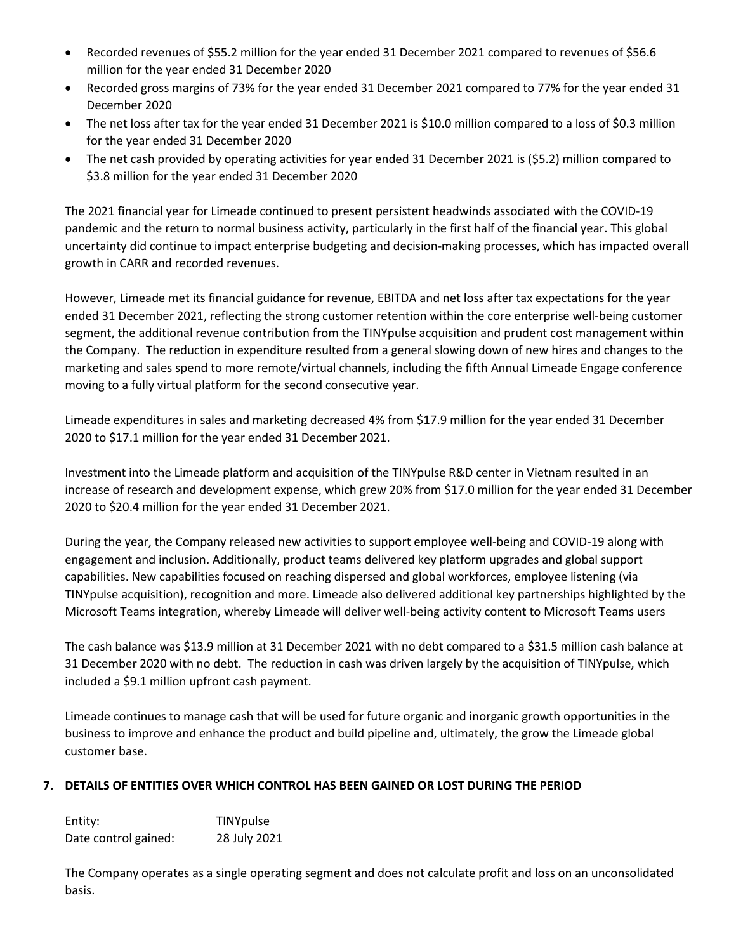- Recorded revenues of \$55.2 million for the year ended 31 December 2021 compared to revenues of \$56.6 million for the year ended 31 December 2020
- Recorded gross margins of 73% for the year ended 31 December 2021 compared to 77% for the year ended 31 December 2020
- The net loss after tax for the year ended 31 December 2021 is \$10.0 million compared to a loss of \$0.3 million for the year ended 31 December 2020
- The net cash provided by operating activities for year ended 31 December 2021 is (\$5.2) million compared to \$3.8 million for the year ended 31 December 2020

The 2021 financial year for Limeade continued to present persistent headwinds associated with the COVID-19 pandemic and the return to normal business activity, particularly in the first half of the financial year. This global uncertainty did continue to impact enterprise budgeting and decision-making processes, which has impacted overall growth in CARR and recorded revenues.

However, Limeade met its financial guidance for revenue, EBITDA and net loss after tax expectations for the year ended 31 December 2021, reflecting the strong customer retention within the core enterprise well-being customer segment, the additional revenue contribution from the TINYpulse acquisition and prudent cost management within the Company. The reduction in expenditure resulted from a general slowing down of new hires and changes to the marketing and sales spend to more remote/virtual channels, including the fifth Annual Limeade Engage conference moving to a fully virtual platform for the second consecutive year.

Limeade expenditures in sales and marketing decreased 4% from \$17.9 million for the year ended 31 December 2020 to \$17.1 million for the year ended 31 December 2021.

Investment into the Limeade platform and acquisition of the TINYpulse R&D center in Vietnam resulted in an increase of research and development expense, which grew 20% from \$17.0 million for the year ended 31 December 2020 to \$20.4 million for the year ended 31 December 2021.

During the year, the Company released new activities to support employee well-being and COVID-19 along with engagement and inclusion. Additionally, product teams delivered key platform upgrades and global support capabilities. New capabilities focused on reaching dispersed and global workforces, employee listening (via TINYpulse acquisition), recognition and more. Limeade also delivered additional key partnerships highlighted by the Microsoft Teams integration, whereby Limeade will deliver well-being activity content to Microsoft Teams users

The cash balance was \$13.9 million at 31 December 2021 with no debt compared to a \$31.5 million cash balance at 31 December 2020 with no debt. The reduction in cash was driven largely by the acquisition of TINYpulse, which included a \$9.1 million upfront cash payment.

Limeade continues to manage cash that will be used for future organic and inorganic growth opportunities in the business to improve and enhance the product and build pipeline and, ultimately, the grow the Limeade global customer base.

# **7. DETAILS OF ENTITIES OVER WHICH CONTROL HAS BEEN GAINED OR LOST DURING THE PERIOD**

| Entity:              | TINYpulse    |
|----------------------|--------------|
| Date control gained: | 28 July 2021 |

The Company operates as a single operating segment and does not calculate profit and loss on an unconsolidated basis.